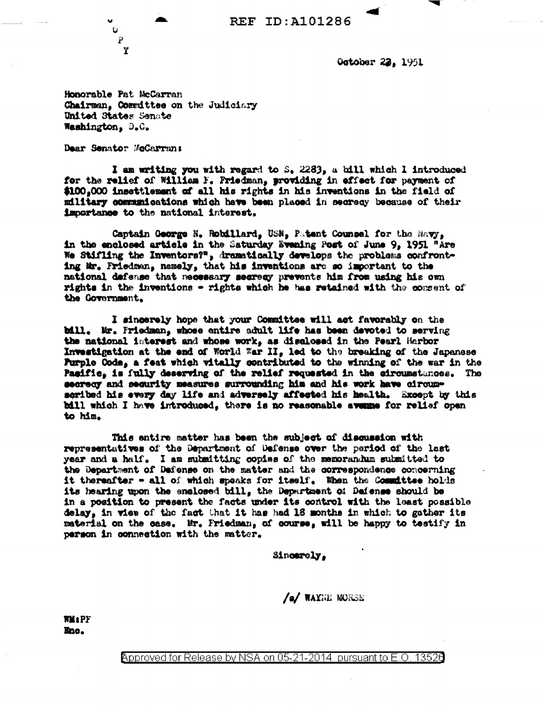

October 22, 1951

Honorable Pat McCarran Chairman, Committee on the Judiciary United States Senate Washington, D.C.

Dear Senator McCarran:

P Y

I am writing you with regard to S. 2283, a bill which I introduced for the relief of William F. Friedman, providing in effect for payment of \$100,000 insettlement of all his rights in his inventions in the field of military communications which have been placed in secrecy because of their importance to the national interest.

Captain George N. Robillard, USN, Patent Counsel for the Mavy, in the enclosed article in the Saturday Evening Post of June 9, 1951 "Are We Stifling the Inventors?", dramatically develops the problems confronting Mr. Friedman, namely, that his inventions are so important to the national defense that mecessary secrecy prevents him from using his own rights in the inventions - rights which he has retained with the consent of the Government.

I singerely hope that your Committee will act favorably on the bill. Mr. Friedman, whose entire adult life has been devoted to serving the national interest and whose work, as disalosed in the Pearl Herbor Investigation at the end of World War II, led to the breaking of the Japanese Purple Code, a feat which vitally contributed to the winning of the war in the Pacific, is fully deserving of the relief requested in the circumstances. The secrecy and security measures surrounding him and his work have circumscribed his every day life and adversely affected his health. Except by this bill which I have introduced, there is no reasonable avenue for relief open to him.

This entire matter has been the subject of discussion with representatives of the Department of Defense over the period of the last year and a half. I am submitting copies of the memorandum submitted to the Department of Dafense on the matter and the correspondence concerning it thereafter - all of which speaks for itself. When the Committee holds its hearing upon the enclosed bill, the Department of Defense should be in a position to present the facts under its control with the least possible delay, in view of the fact that it has had 18 months in which to gather its material on the case. Mr. Friedman, of course, will be happy to testify in person in connection with the matter.

Sincerely.

/s/ WAYNE MORSE

**WM:PF** Enc.

> Approved for Release by NSA on 05-21-2014 pursuant to E.O. <u> 13526</u>